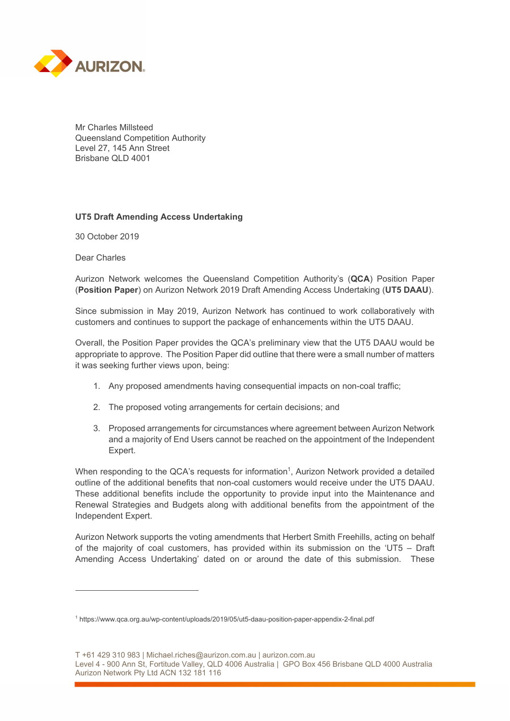

Mr Charles Millsteed Queensland Competition Authority Level 27, 145 Ann Street Brisbane QLD 4001

## **UT5 Draft Amending Access Undertaking**

30 October 2019

Dear Charles

 $\overline{a}$ 

Aurizon Network welcomes the Queensland Competition Authority's (**QCA**) Position Paper (**Position Paper**) on Aurizon Network 2019 Draft Amending Access Undertaking (**UT5 DAAU**).

Since submission in May 2019, Aurizon Network has continued to work collaboratively with customers and continues to support the package of enhancements within the UT5 DAAU.

Overall, the Position Paper provides the QCA's preliminary view that the UT5 DAAU would be appropriate to approve. The Position Paper did outline that there were a small number of matters it was seeking further views upon, being:

- 1. Any proposed amendments having consequential impacts on non-coal traffic;
- 2. The proposed voting arrangements for certain decisions; and
- 3. Proposed arrangements for circumstances where agreement between Aurizon Network and a majority of End Users cannot be reached on the appointment of the Independent Expert.

When responding to the QCA's requests for information<sup>1</sup>, Aurizon Network provided a detailed outline of the additional benefits that non-coal customers would receive under the UT5 DAAU. These additional benefits include the opportunity to provide input into the Maintenance and Renewal Strategies and Budgets along with additional benefits from the appointment of the Independent Expert.

Aurizon Network supports the voting amendments that Herbert Smith Freehills, acting on behalf of the majority of coal customers, has provided within its submission on the 'UT5 – Draft Amending Access Undertaking' dated on or around the date of this submission. These

T +61 429 310 983 | Michael.riches@aurizon.com.au | aurizon.com.au

<sup>1</sup> https://www.qca.org.au/wp-content/uploads/2019/05/ut5-daau-position-paper-appendix-2-final.pdf

Level 4 - 900 Ann St, Fortitude Valley, QLD 4006 Australia | GPO Box 456 Brisbane QLD 4000 Australia Aurizon Network Pty Ltd ACN 132 181 116